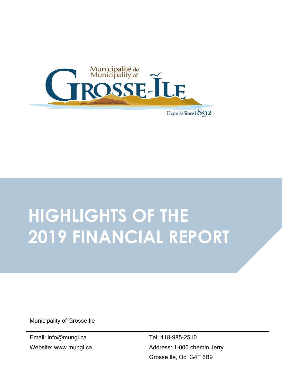

# **HIGHLIGHTS OF THE 2019 FINANCIAL REPORT**

Municipality of Grosse Ile

Email: info@mungi.ca Website: www.mungi.ca Tel: 418-985-2510 Address: 1-006 chemin Jerry Grosse Ile, Qc. G4T 6B9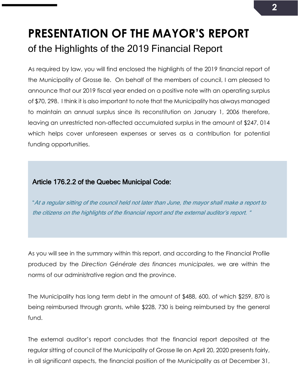# **PRESENTATION OF THE MAYOR'S REPORT** of the Highlights of the 2019 Financial Report

As required by law, you will find enclosed the highlights of the 2019 financial report of the Municipality of Grosse Ile. On behalf of the members of council, I am pleased to announce that our 2019 fiscal year ended on a positive note with an operating surplus of \$70, 298. I think it is also important to note that the Municipality has always managed to maintain an annual surplus since its reconstitution on January 1, 2006 therefore, leaving an unrestricted non-affected accumulated surplus in the amount of \$247, 014 which helps cover unforeseen expenses or serves as a contribution for potential funding opportunities.

#### Article 176.2.2 of the Quebec Municipal Code:

"At a regular sitting of the council held not later than June, the mayor shall make a report to the citizens on the highlights of the financial report and the external auditor's report. "

As you will see in the summary within this report, and according to the Financial Profile produced by the *Direction Générale des finances municipales*, we are within the norms of our administrative region and the province.

The Municipality has long term debt in the amount of \$488, 600, of which \$259, 870 is being reimbursed through grants, while \$228, 730 is being reimbursed by the general fund.

The external auditor's report concludes that the financial report deposited at the regular sitting of council of the Municipality of Grosse Ile on April 20, 2020 presents fairly, in all significant aspects, the financial position of the Municipality as at December 31,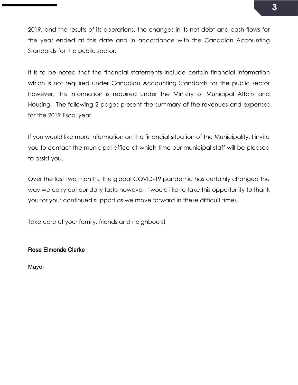2019, and the results of its operations, the changes in its net debt and cash flows for the year ended at this date and in accordance with the Canadian Accounting Standards for the public sector.

It is to be noted that the financial statements include certain financial information which is not required under Canadian Accounting Standards for the public sector however, this information is required under the Ministry of Municipal Affairs and Housing. The following 2 pages present the summary of the revenues and expenses for the 2019 fiscal year.

If you would like more information on the financial situation of the Municipality, I invite you to contact the municipal office at which time our municipal staff will be pleased to assist you.

Over the last two months, the global COVID-19 pandemic has certainly changed the way we carry out our daily tasks however, I would like to take this opportunity to thank you for your continued support as we move forward in these difficult times.

Take care of your family, friends and neighbours!

#### Rose Elmonde Clarke

Mayor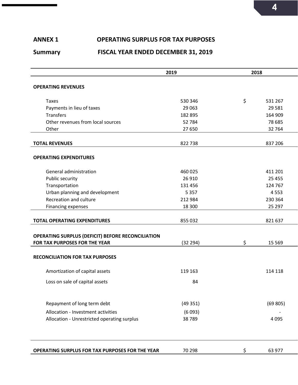### **ANNEX 1 OPERATING SURPLUS FOR TAX PURPOSES**

#### **Summary FISCAL YEAR ENDED DECEMBER 31, 2019**

|                                                        | 2019     | 2018 |         |
|--------------------------------------------------------|----------|------|---------|
| <b>OPERATING REVENUES</b>                              |          |      |         |
|                                                        |          |      |         |
| <b>Taxes</b>                                           | 530 346  | \$   | 531 267 |
| Payments in lieu of taxes                              | 29 0 63  |      | 29 5 81 |
| <b>Transfers</b>                                       | 182 895  |      | 164 909 |
| Other revenues from local sources                      | 52 784   |      | 78 685  |
| Other                                                  | 27 650   |      | 32 764  |
| <b>TOTAL REVENUES</b>                                  | 822738   |      | 837 206 |
|                                                        |          |      |         |
| <b>OPERATING EXPENDITURES</b>                          |          |      |         |
|                                                        |          |      |         |
| General administration                                 | 460 025  |      | 411 201 |
| Public security                                        | 26 9 10  |      | 25 4 55 |
| Transportation                                         | 131 456  |      | 124 767 |
| Urban planning and development                         | 5 3 5 7  |      | 4553    |
| Recreation and culture                                 | 212 984  |      | 230 364 |
| Financing expenses                                     | 18 300   |      | 25 297  |
|                                                        |          |      |         |
| <b>TOTAL OPERATING EXPENDITURES</b>                    | 855 032  |      | 821 637 |
|                                                        |          |      |         |
| OPERATING SURPLUS (DEFICIT) BEFORE RECONCILIATION      |          |      |         |
| FOR TAX PURPOSES FOR THE YEAR                          | (32 294) | \$   | 15 5 69 |
|                                                        |          |      |         |
| <b>RECONCILIATION FOR TAX PURPOSES</b>                 |          |      |         |
| Amortization of capital assets                         | 119 163  |      | 114 118 |
| Loss on sale of capital assets                         | 84       |      |         |
|                                                        |          |      |         |
|                                                        |          |      |         |
| Repayment of long term debt                            | (49351)  |      | (69805) |
| Allocation - Investment activities                     | (6093)   |      |         |
| Allocation - Unrestricted operating surplus            | 38789    |      | 4 0 9 5 |
|                                                        |          |      |         |
|                                                        |          |      |         |
| <b>OPERATING SURPLUS FOR TAX PURPOSES FOR THE YEAR</b> | 70 298   | \$.  | 63 977  |
|                                                        |          |      |         |